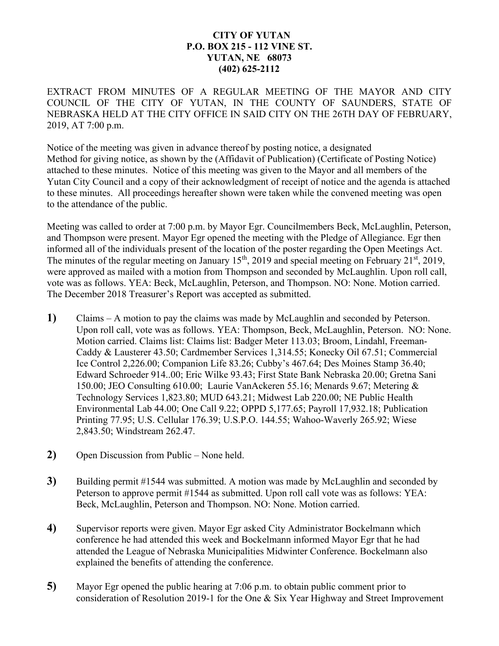## **CITY OF YUTAN P.O. BOX 215 - 112 VINE ST. YUTAN, NE 68073 (402) 625-2112**

EXTRACT FROM MINUTES OF A REGULAR MEETING OF THE MAYOR AND CITY COUNCIL OF THE CITY OF YUTAN, IN THE COUNTY OF SAUNDERS, STATE OF NEBRASKA HELD AT THE CITY OFFICE IN SAID CITY ON THE 26TH DAY OF FEBRUARY, 2019, AT 7:00 p.m.

Notice of the meeting was given in advance thereof by posting notice, a designated Method for giving notice, as shown by the (Affidavit of Publication) (Certificate of Posting Notice) attached to these minutes. Notice of this meeting was given to the Mayor and all members of the Yutan City Council and a copy of their acknowledgment of receipt of notice and the agenda is attached to these minutes. All proceedings hereafter shown were taken while the convened meeting was open to the attendance of the public.

Meeting was called to order at 7:00 p.m. by Mayor Egr. Councilmembers Beck, McLaughlin, Peterson, and Thompson were present. Mayor Egr opened the meeting with the Pledge of Allegiance. Egr then informed all of the individuals present of the location of the poster regarding the Open Meetings Act. The minutes of the regular meeting on January  $15<sup>th</sup>$ , 2019 and special meeting on February 21<sup>st</sup>, 2019, were approved as mailed with a motion from Thompson and seconded by McLaughlin. Upon roll call, vote was as follows. YEA: Beck, McLaughlin, Peterson, and Thompson. NO: None. Motion carried. The December 2018 Treasurer's Report was accepted as submitted.

- **1)** Claims A motion to pay the claims was made by McLaughlin and seconded by Peterson. Upon roll call, vote was as follows. YEA: Thompson, Beck, McLaughlin, Peterson. NO: None. Motion carried. Claims list: Claims list: Badger Meter 113.03; Broom, Lindahl, Freeman-Caddy & Lausterer 43.50; Cardmember Services 1,314.55; Konecky Oil 67.51; Commercial Ice Control 2,226.00; Companion Life 83.26; Cubby's 467.64; Des Moines Stamp 36.40; Edward Schroeder 914..00; Eric Wilke 93.43; First State Bank Nebraska 20.00; Gretna Sani 150.00; JEO Consulting 610.00; Laurie VanAckeren 55.16; Menards 9.67; Metering & Technology Services 1,823.80; MUD 643.21; Midwest Lab 220.00; NE Public Health Environmental Lab 44.00; One Call 9.22; OPPD 5,177.65; Payroll 17,932.18; Publication Printing 77.95; U.S. Cellular 176.39; U.S.P.O. 144.55; Wahoo-Waverly 265.92; Wiese 2,843.50; Windstream 262.47.
- **2)** Open Discussion from Public None held.
- **3)** Building permit #1544 was submitted. A motion was made by McLaughlin and seconded by Peterson to approve permit #1544 as submitted. Upon roll call vote was as follows: YEA: Beck, McLaughlin, Peterson and Thompson. NO: None. Motion carried.
- **4)** Supervisor reports were given. Mayor Egr asked City Administrator Bockelmann which conference he had attended this week and Bockelmann informed Mayor Egr that he had attended the League of Nebraska Municipalities Midwinter Conference. Bockelmann also explained the benefits of attending the conference.
- **5)** Mayor Egr opened the public hearing at 7:06 p.m. to obtain public comment prior to consideration of Resolution 2019-1 for the One & Six Year Highway and Street Improvement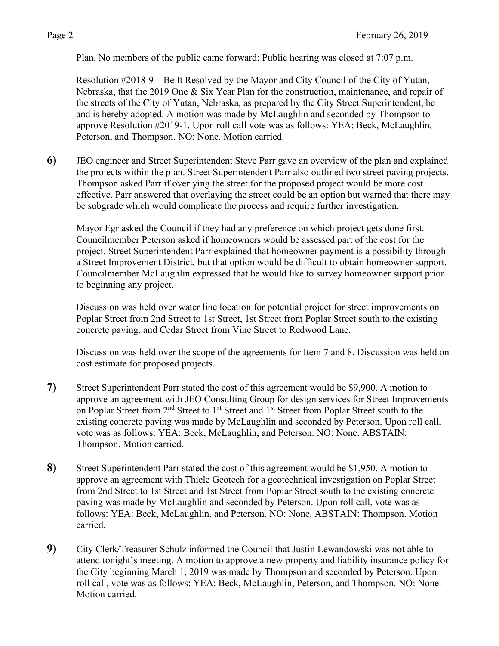Plan. No members of the public came forward; Public hearing was closed at 7:07 p.m.

Resolution #2018-9 – Be It Resolved by the Mayor and City Council of the City of Yutan, Nebraska, that the 2019 One & Six Year Plan for the construction, maintenance, and repair of the streets of the City of Yutan, Nebraska, as prepared by the City Street Superintendent, be and is hereby adopted. A motion was made by McLaughlin and seconded by Thompson to approve Resolution #2019-1. Upon roll call vote was as follows: YEA: Beck, McLaughlin, Peterson, and Thompson. NO: None. Motion carried.

**6)** JEO engineer and Street Superintendent Steve Parr gave an overview of the plan and explained the projects within the plan. Street Superintendent Parr also outlined two street paving projects. Thompson asked Parr if overlying the street for the proposed project would be more cost effective. Parr answered that overlaying the street could be an option but warned that there may be subgrade which would complicate the process and require further investigation.

Mayor Egr asked the Council if they had any preference on which project gets done first. Councilmember Peterson asked if homeowners would be assessed part of the cost for the project. Street Superintendent Parr explained that homeowner payment is a possibility through a Street Improvement District, but that option would be difficult to obtain homeowner support. Councilmember McLaughlin expressed that he would like to survey homeowner support prior to beginning any project.

Discussion was held over water line location for potential project for street improvements on Poplar Street from 2nd Street to 1st Street, 1st Street from Poplar Street south to the existing concrete paving, and Cedar Street from Vine Street to Redwood Lane.

Discussion was held over the scope of the agreements for Item 7 and 8. Discussion was held on cost estimate for proposed projects.

- **7)** Street Superintendent Parr stated the cost of this agreement would be \$9,900. A motion to approve an agreement with JEO Consulting Group for design services for Street Improvements on Poplar Street from 2<sup>nd</sup> Street to 1<sup>st</sup> Street and 1<sup>st</sup> Street from Poplar Street south to the existing concrete paving was made by McLaughlin and seconded by Peterson. Upon roll call, vote was as follows: YEA: Beck, McLaughlin, and Peterson. NO: None. ABSTAIN: Thompson. Motion carried.
- **8)** Street Superintendent Parr stated the cost of this agreement would be \$1,950. A motion to approve an agreement with Thiele Geotech for a geotechnical investigation on Poplar Street from 2nd Street to 1st Street and 1st Street from Poplar Street south to the existing concrete paving was made by McLaughlin and seconded by Peterson. Upon roll call, vote was as follows: YEA: Beck, McLaughlin, and Peterson. NO: None. ABSTAIN: Thompson. Motion carried.
- **9)** City Clerk/Treasurer Schulz informed the Council that Justin Lewandowski was not able to attend tonight's meeting. A motion to approve a new property and liability insurance policy for the City beginning March 1, 2019 was made by Thompson and seconded by Peterson. Upon roll call, vote was as follows: YEA: Beck, McLaughlin, Peterson, and Thompson. NO: None. Motion carried.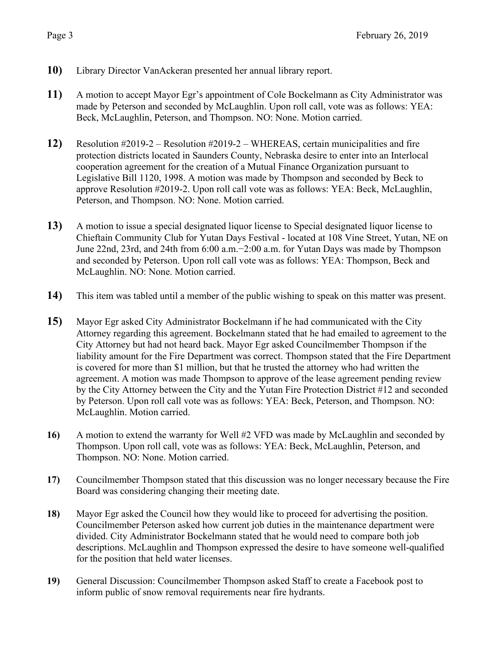- **10)** Library Director VanAckeran presented her annual library report.
- **11)** A motion to accept Mayor Egr's appointment of Cole Bockelmann as City Administrator was made by Peterson and seconded by McLaughlin. Upon roll call, vote was as follows: YEA: Beck, McLaughlin, Peterson, and Thompson. NO: None. Motion carried.
- **12)** Resolution #2019-2 Resolution #2019-2 WHEREAS, certain municipalities and fire protection districts located in Saunders County, Nebraska desire to enter into an Interlocal cooperation agreement for the creation of a Mutual Finance Organization pursuant to Legislative Bill 1120, 1998. A motion was made by Thompson and seconded by Beck to approve Resolution #2019-2. Upon roll call vote was as follows: YEA: Beck, McLaughlin, Peterson, and Thompson. NO: None. Motion carried.
- **13)** A motion to issue a special designated liquor license to Special designated liquor license to Chieftain Community Club for Yutan Days Festival - located at 108 Vine Street, Yutan, NE on June 22nd, 23rd, and 24th from 6:00 a.m.−2:00 a.m. for Yutan Days was made by Thompson and seconded by Peterson. Upon roll call vote was as follows: YEA: Thompson, Beck and McLaughlin. NO: None. Motion carried.
- **14)** This item was tabled until a member of the public wishing to speak on this matter was present.
- **15)** Mayor Egr asked City Administrator Bockelmann if he had communicated with the City Attorney regarding this agreement. Bockelmann stated that he had emailed to agreement to the City Attorney but had not heard back. Mayor Egr asked Councilmember Thompson if the liability amount for the Fire Department was correct. Thompson stated that the Fire Department is covered for more than \$1 million, but that he trusted the attorney who had written the agreement. A motion was made Thompson to approve of the lease agreement pending review by the City Attorney between the City and the Yutan Fire Protection District #12 and seconded by Peterson. Upon roll call vote was as follows: YEA: Beck, Peterson, and Thompson. NO: McLaughlin. Motion carried.
- **16)** A motion to extend the warranty for Well #2 VFD was made by McLaughlin and seconded by Thompson. Upon roll call, vote was as follows: YEA: Beck, McLaughlin, Peterson, and Thompson. NO: None. Motion carried.
- **17)** Councilmember Thompson stated that this discussion was no longer necessary because the Fire Board was considering changing their meeting date.
- **18)** Mayor Egr asked the Council how they would like to proceed for advertising the position. Councilmember Peterson asked how current job duties in the maintenance department were divided. City Administrator Bockelmann stated that he would need to compare both job descriptions. McLaughlin and Thompson expressed the desire to have someone well-qualified for the position that held water licenses.
- **19)** General Discussion: Councilmember Thompson asked Staff to create a Facebook post to inform public of snow removal requirements near fire hydrants.